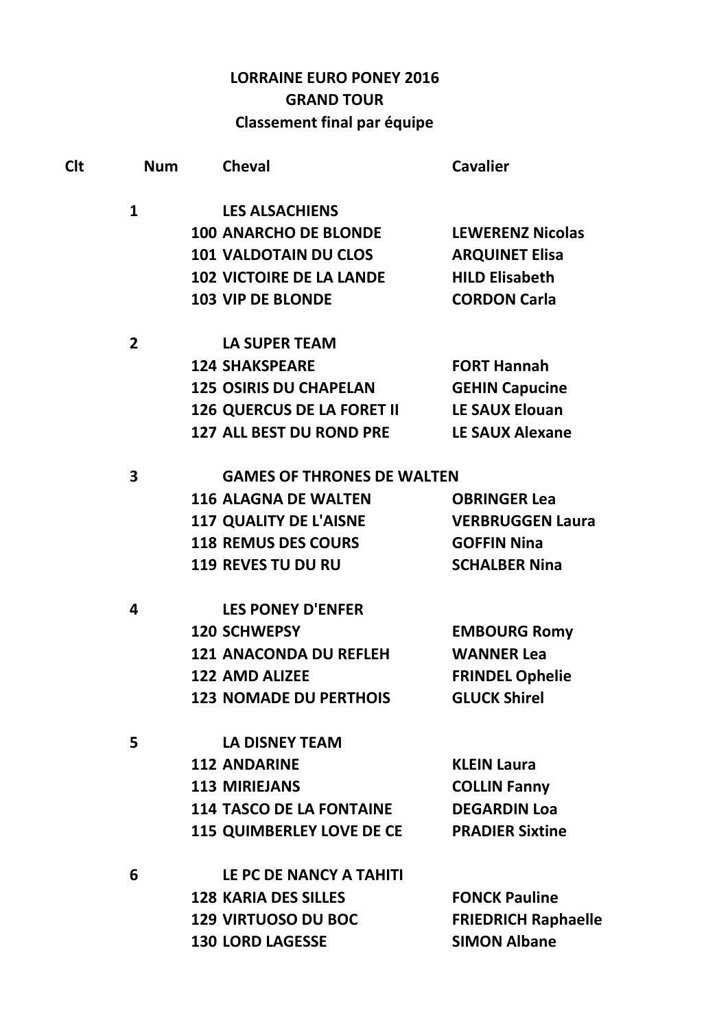## **LORRAINE EURO PONEY 2016 GRAND TOUR** Classement final par équipe

| <b>Clt</b>     | <b>Num</b> | <b>Cheval</b>                     | <b>Cavalier</b>            |
|----------------|------------|-----------------------------------|----------------------------|
| $\mathbf{1}$   |            | <b>LES ALSACHIENS</b>             |                            |
|                |            | <b>100 ANARCHO DE BLONDE</b>      | <b>LEWERENZ Nicolas</b>    |
|                |            | <b>101 VALDOTAIN DU CLOS</b>      | <b>ARQUINET Elisa</b>      |
|                |            | <b>102 VICTOIRE DE LA LANDE</b>   | <b>HILD Elisabeth</b>      |
|                |            | <b>103 VIP DE BLONDE</b>          | <b>CORDON Carla</b>        |
| $\overline{2}$ |            | <b>LA SUPER TEAM</b>              |                            |
|                |            | <b>124 SHAKSPEARE</b>             | <b>FORT Hannah</b>         |
|                |            | <b>125 OSIRIS DU CHAPELAN</b>     | <b>GEHIN Capucine</b>      |
|                |            | <b>126 QUERCUS DE LA FORET II</b> | <b>LE SAUX Elouan</b>      |
|                |            | <b>127 ALL BEST DU ROND PRE</b>   | <b>LE SAUX Alexane</b>     |
| 3              |            | <b>GAMES OF THRONES DE WALTEN</b> |                            |
|                |            | <b>116 ALAGNA DE WALTEN</b>       | <b>OBRINGER Lea</b>        |
|                |            | <b>117 QUALITY DE L'AISNE</b>     | <b>VERBRUGGEN Laura</b>    |
|                |            | <b>118 REMUS DES COURS</b>        | <b>GOFFIN Nina</b>         |
|                |            | <b>119 REVES TU DU RU</b>         | <b>SCHALBER Nina</b>       |
| 4              |            | <b>LES PONEY D'ENFER</b>          |                            |
|                |            | <b>120 SCHWEPSY</b>               | <b>EMBOURG Romy</b>        |
|                |            | <b>121 ANACONDA DU REFLEH</b>     | <b>WANNER Lea</b>          |
|                |            | <b>122 AMD ALIZEE</b>             | <b>FRINDEL Ophelie</b>     |
|                |            | <b>123 NOMADE DU PERTHOIS</b>     | <b>GLUCK Shirel</b>        |
| 5              |            | <b>LA DISNEY TEAM</b>             |                            |
|                |            | <b>112 ANDARINE</b>               | <b>KLEIN Laura</b>         |
|                |            | <b>113 MIRIEJANS</b>              | <b>COLLIN Fanny</b>        |
|                |            | <b>114 TASCO DE LA FONTAINE</b>   | <b>DEGARDIN Loa</b>        |
|                |            | <b>115 QUIMBERLEY LOVE DE CE</b>  | <b>PRADIER Sixtine</b>     |
| 6              |            | LE PC DE NANCY A TAHITI           |                            |
|                |            | <b>128 KARIA DES SILLES</b>       | <b>FONCK Pauline</b>       |
|                |            | <b>129 VIRTUOSO DU BOC</b>        | <b>FRIEDRICH Raphaelle</b> |
|                |            | <b>130 LORD LAGESSE</b>           | <b>SIMON Albane</b>        |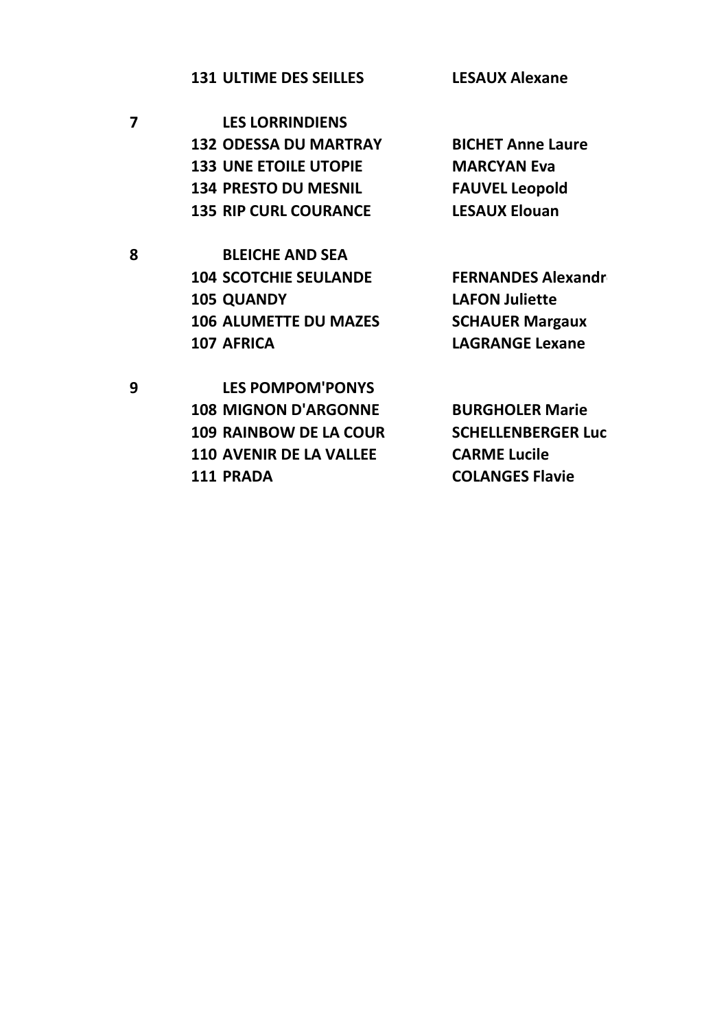**LESAUX Alexane 131 ULTIME DES SEILLES** 

 $\overline{\mathbf{z}}$ **LES LORRINDIENS 132 ODESSA DU MARTRAY 133 UNE ETOILE UTOPIE 134 PRESTO DU MESNIL 135 RIP CURL COURANCE** 

8

9

**BLEICHE AND SEA 104 SCOTCHIE SEULANDE 105 QUANDY 106 ALUMETTE DU MAZES** 107 AFRICA

**BICHET Anne Laure MARCYAN Eva FAUVEL Leopold LESAUX Elouan** 

**FERNANDES Alexandr LAFON Juliette SCHAUER Margaux LAGRANGE Lexane** 

**LES POMPOM'PONYS 108 MIGNON D'ARGONNE 109 RAINBOW DE LA COUR 110 AVENIR DE LA VALLEE** 111 PRADA

**BURGHOLER Marie SCHELLENBERGER Luc CARME Lucile COLANGES Flavie**